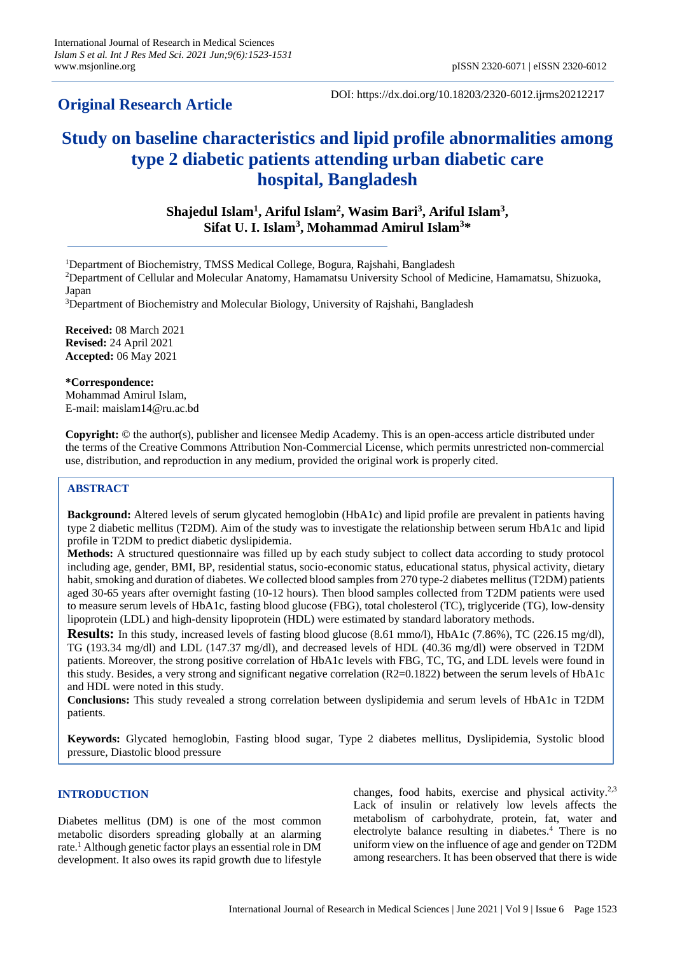# **Original Research Article**

DOI: https://dx.doi.org/10.18203/2320-6012.ijrms20212217

# **Study on baseline characteristics and lipid profile abnormalities among type 2 diabetic patients attending urban diabetic care hospital, Bangladesh**

**Shajedul Islam<sup>1</sup> , Ariful Islam<sup>2</sup> , Wasim Bari<sup>3</sup> , Ariful Islam<sup>3</sup> , Sifat U. I. Islam<sup>3</sup> , Mohammad Amirul Islam<sup>3</sup>\***

<sup>1</sup>Department of Biochemistry, TMSS Medical College, Bogura, Rajshahi, Bangladesh

<sup>2</sup>Department of Cellular and Molecular Anatomy, Hamamatsu University School of Medicine, Hamamatsu, Shizuoka, Japan

<sup>3</sup>Department of Biochemistry and Molecular Biology, University of Rajshahi, Bangladesh

**Received:** 08 March 2021 **Revised:** 24 April 2021 **Accepted:** 06 May 2021

**\*Correspondence:** Mohammad Amirul Islam, E-mail: maislam14@ru.ac.bd

**Copyright:** © the author(s), publisher and licensee Medip Academy. This is an open-access article distributed under the terms of the Creative Commons Attribution Non-Commercial License, which permits unrestricted non-commercial use, distribution, and reproduction in any medium, provided the original work is properly cited.

# **ABSTRACT**

**Background:** Altered levels of serum glycated hemoglobin (HbA1c) and lipid profile are prevalent in patients having type 2 diabetic mellitus (T2DM). Aim of the study was to investigate the relationship between serum HbA1c and lipid profile in T2DM to predict diabetic dyslipidemia.

**Methods:** A structured questionnaire was filled up by each study subject to collect data according to study protocol including age, gender, BMI, BP, residential status, socio-economic status, educational status, physical activity, dietary habit, smoking and duration of diabetes. We collected blood samples from 270 type-2 diabetes mellitus (T2DM) patients aged 30-65 years after overnight fasting (10-12 hours). Then blood samples collected from T2DM patients were used to measure serum levels of HbA1c, fasting blood glucose (FBG), total cholesterol (TC), triglyceride (TG), low-density lipoprotein (LDL) and high-density lipoprotein (HDL) were estimated by standard laboratory methods.

**Results:** In this study, increased levels of fasting blood glucose (8.61 mmo/l), HbA1c (7.86%), TC (226.15 mg/dl), TG (193.34 mg/dl) and LDL (147.37 mg/dl), and decreased levels of HDL (40.36 mg/dl) were observed in T2DM patients. Moreover, the strong positive correlation of HbA1c levels with FBG, TC, TG, and LDL levels were found in this study. Besides, a very strong and significant negative correlation (R2=0.1822) between the serum levels of HbA1c and HDL were noted in this study.

**Conclusions:** This study revealed a strong correlation between dyslipidemia and serum levels of HbA1c in T2DM patients.

**Keywords:** Glycated hemoglobin, Fasting blood sugar, Type 2 diabetes mellitus, Dyslipidemia, Systolic blood pressure, Diastolic blood pressure

#### **INTRODUCTION**

Diabetes mellitus (DM) is one of the most common metabolic disorders spreading globally at an alarming rate.<sup>1</sup> Although genetic factor plays an essential role in DM development. It also owes its rapid growth due to lifestyle

changes, food habits, exercise and physical activity.<sup>2,3</sup> Lack of insulin or relatively low levels affects the metabolism of carbohydrate, protein, fat, water and electrolyte balance resulting in diabetes.<sup>4</sup> There is no uniform view on the influence of age and gender on T2DM among researchers. It has been observed that there is wide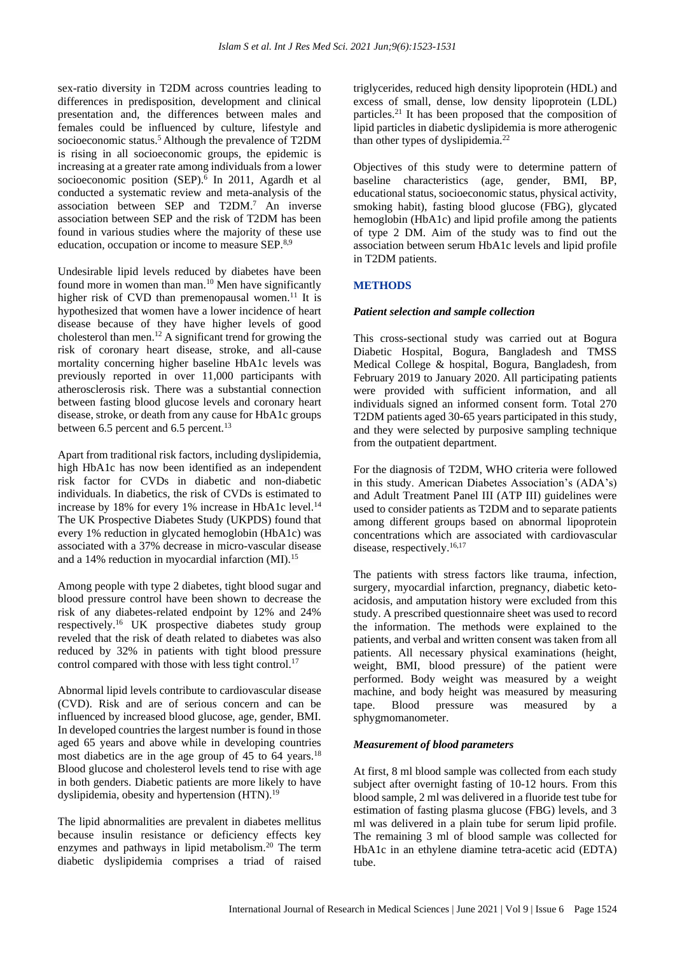sex-ratio diversity in T2DM across countries leading to differences in predisposition, development and clinical presentation and, the differences between males and females could be influenced by culture, lifestyle and socioeconomic status.<sup>5</sup> Although the prevalence of T2DM is rising in all socioeconomic groups, the epidemic is increasing at a greater rate among individuals from a lower socioeconomic position (SEP).<sup>6</sup> In 2011, Agardh et al conducted a systematic review and meta-analysis of the association between SEP and T2DM.<sup>7</sup> An inverse association between SEP and the risk of T2DM has been found in various studies where the majority of these use education, occupation or income to measure SEP.8,9

Undesirable lipid levels reduced by diabetes have been found more in women than man.<sup>10</sup> Men have significantly higher risk of CVD than premenopausal women.<sup>11</sup> It is hypothesized that women have a lower incidence of heart disease because of they have higher levels of good cholesterol than men.<sup>12</sup> A significant trend for growing the risk of coronary heart disease, stroke, and all-cause mortality concerning higher baseline HbA1c levels was previously reported in over 11,000 participants with atherosclerosis risk. There was a substantial connection between fasting blood glucose levels and coronary heart disease, stroke, or death from any cause for HbA1c groups between 6.5 percent and 6.5 percent.<sup>13</sup>

Apart from traditional risk factors, including dyslipidemia, high HbA1c has now been identified as an independent risk factor for CVDs in diabetic and non-diabetic individuals. In diabetics, the risk of CVDs is estimated to increase by 18% for every 1% increase in HbA1c level.<sup>14</sup> The UK Prospective Diabetes Study (UKPDS) found that every 1% reduction in glycated hemoglobin (HbA1c) was associated with a 37% decrease in micro-vascular disease and a 14% reduction in myocardial infarction (MI).<sup>15</sup>

Among people with type 2 diabetes, tight blood sugar and blood pressure control have been shown to decrease the risk of any diabetes-related endpoint by 12% and 24% respectively.<sup>16</sup> UK prospective diabetes study group reveled that the risk of death related to diabetes was also reduced by 32% in patients with tight blood pressure control compared with those with less tight control.<sup>17</sup>

Abnormal lipid levels contribute to cardiovascular disease (CVD). Risk and are of serious concern and can be influenced by increased blood glucose, age, gender, BMI. In developed countries the largest number is found in those aged 65 years and above while in developing countries most diabetics are in the age group of 45 to 64 years.<sup>18</sup> Blood glucose and cholesterol levels tend to rise with age in both genders. Diabetic patients are more likely to have dyslipidemia, obesity and hypertension (HTN).<sup>19</sup>

The lipid abnormalities are prevalent in diabetes mellitus because insulin resistance or deficiency effects key enzymes and pathways in lipid metabolism.<sup>20</sup> The term diabetic dyslipidemia comprises a triad of raised

triglycerides, reduced high density lipoprotein (HDL) and excess of small, dense, low density lipoprotein (LDL) particles.<sup>21</sup> It has been proposed that the composition of lipid particles in diabetic dyslipidemia is more atherogenic than other types of dyslipidemia.<sup>22</sup>

Objectives of this study were to determine pattern of baseline characteristics (age, gender, BMI, BP, educational status, socioeconomic status, physical activity, smoking habit), fasting blood glucose (FBG), glycated hemoglobin (HbA1c) and lipid profile among the patients of type 2 DM. Aim of the study was to find out the association between serum HbA1c levels and lipid profile in T2DM patients.

# **METHODS**

## *Patient selection and sample collection*

This cross-sectional study was carried out at Bogura Diabetic Hospital, Bogura, Bangladesh and TMSS Medical College & hospital, Bogura, Bangladesh, from February 2019 to January 2020. All participating patients were provided with sufficient information, and all individuals signed an informed consent form. Total 270 T2DM patients aged 30-65 years participated in this study, and they were selected by purposive sampling technique from the outpatient department.

For the diagnosis of T2DM, WHO criteria were followed in this study. American Diabetes Association's (ADA's) and Adult Treatment Panel III (ATP III) guidelines were used to consider patients as T2DM and to separate patients among different groups based on abnormal lipoprotein concentrations which are associated with cardiovascular disease, respectively.<sup>16,17</sup>

The patients with stress factors like trauma, infection, surgery, myocardial infarction, pregnancy, diabetic ketoacidosis, and amputation history were excluded from this study. A prescribed questionnaire sheet was used to record the information. The methods were explained to the patients, and verbal and written consent was taken from all patients. All necessary physical examinations (height, weight, BMI, blood pressure) of the patient were performed. Body weight was measured by a weight machine, and body height was measured by measuring tape. Blood pressure was measured by a sphygmomanometer.

## *Measurement of blood parameters*

At first, 8 ml blood sample was collected from each study subject after overnight fasting of 10-12 hours. From this blood sample, 2 ml was delivered in a fluoride test tube for estimation of fasting plasma glucose (FBG) levels, and 3 ml was delivered in a plain tube for serum lipid profile. The remaining 3 ml of blood sample was collected for HbA1c in an ethylene diamine tetra-acetic acid (EDTA) tube.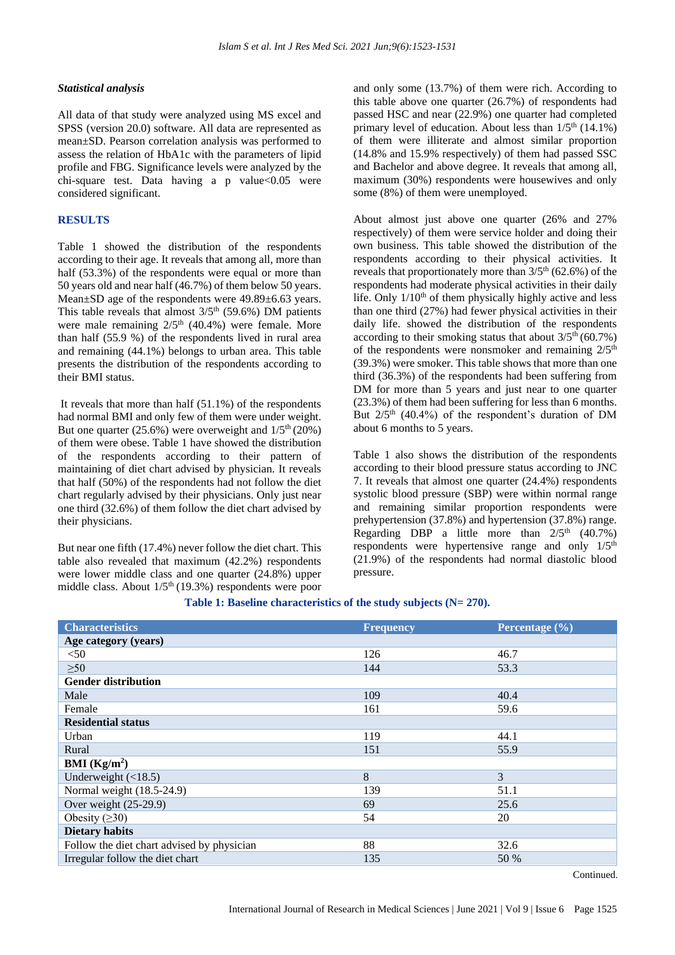#### *Statistical analysis*

All data of that study were analyzed using MS excel and SPSS (version 20.0) software. All data are represented as mean±SD. Pearson correlation analysis was performed to assess the relation of HbA1c with the parameters of lipid profile and FBG. Significance levels were analyzed by the chi-square test. Data having a p value $< 0.05$  were considered significant.

## **RESULTS**

Table 1 showed the distribution of the respondents according to their age. It reveals that among all, more than half (53.3%) of the respondents were equal or more than 50 years old and near half (46.7%) of them below 50 years. Mean±SD age of the respondents were 49.89±6.63 years. This table reveals that almost  $3/5<sup>th</sup>$  (59.6%) DM patients were male remaining  $2/5<sup>th</sup>$  (40.4%) were female. More than half (55.9 %) of the respondents lived in rural area and remaining (44.1%) belongs to urban area. This table presents the distribution of the respondents according to their BMI status.

It reveals that more than half (51.1%) of the respondents had normal BMI and only few of them were under weight. But one quarter  $(25.6\%)$  were overweight and  $1/5<sup>th</sup>(20\%)$ of them were obese. Table 1 have showed the distribution of the respondents according to their pattern of maintaining of diet chart advised by physician. It reveals that half (50%) of the respondents had not follow the diet chart regularly advised by their physicians. Only just near one third (32.6%) of them follow the diet chart advised by their physicians.

But near one fifth (17.4%) never follow the diet chart. This table also revealed that maximum (42.2%) respondents were lower middle class and one quarter (24.8%) upper middle class. About  $1/5<sup>th</sup>$  (19.3%) respondents were poor and only some (13.7%) of them were rich. According to this table above one quarter (26.7%) of respondents had passed HSC and near (22.9%) one quarter had completed primary level of education. About less than  $1/5<sup>th</sup>$  (14.1%) of them were illiterate and almost similar proportion (14.8% and 15.9% respectively) of them had passed SSC and Bachelor and above degree. It reveals that among all, maximum (30%) respondents were housewives and only some (8%) of them were unemployed.

About almost just above one quarter (26% and 27% respectively) of them were service holder and doing their own business. This table showed the distribution of the respondents according to their physical activities. It reveals that proportionately more than  $3/5<sup>th</sup>$  (62.6%) of the respondents had moderate physical activities in their daily life. Only  $1/10<sup>th</sup>$  of them physically highly active and less than one third (27%) had fewer physical activities in their daily life. showed the distribution of the respondents according to their smoking status that about  $3/5<sup>th</sup> (60.7%)$ of the respondents were nonsmoker and remaining  $2/5<sup>th</sup>$ (39.3%) were smoker. This table shows that more than one third (36.3%) of the respondents had been suffering from DM for more than 5 years and just near to one quarter (23.3%) of them had been suffering for less than 6 months. But  $2/5$ <sup>th</sup> (40.4%) of the respondent's duration of DM about 6 months to 5 years.

Table 1 also shows the distribution of the respondents according to their blood pressure status according to JNC 7. It reveals that almost one quarter (24.4%) respondents systolic blood pressure (SBP) were within normal range and remaining similar proportion respondents were prehypertension (37.8%) and hypertension (37.8%) range. Regarding DBP a little more than  $2/5$ <sup>th</sup>  $(40.7\%)$ respondents were hypertensive range and only  $1/5<sup>th</sup>$ (21.9%) of the respondents had normal diastolic blood pressure.

| <b>Characteristics</b>                     | <b>Frequency</b> | Percentage (%) |
|--------------------------------------------|------------------|----------------|
| Age category (years)                       |                  |                |
| $50$                                       | 126              | 46.7           |
| $\geq 50$                                  | 144              | 53.3           |
| <b>Gender distribution</b>                 |                  |                |
| Male                                       | 109              | 40.4           |
| Female                                     | 161              | 59.6           |
| <b>Residential status</b>                  |                  |                |
| Urban                                      | 119              | 44.1           |
| Rural                                      | 151              | 55.9           |
| BMI (Kg/m <sup>2</sup> )                   |                  |                |
| Underweight $(\langle 18.5)$               | 8                | 3              |
| Normal weight (18.5-24.9)                  | 139              | 51.1           |
| Over weight $(25-29.9)$                    | 69               | 25.6           |
| Obesity $( \geq 30)$                       | 54               | 20             |
| <b>Dietary habits</b>                      |                  |                |
| Follow the diet chart advised by physician | 88               | 32.6           |
| Irregular follow the diet chart            | 135              | 50 %           |

#### **Table 1: Baseline characteristics of the study subjects (N= 270).**

Continued.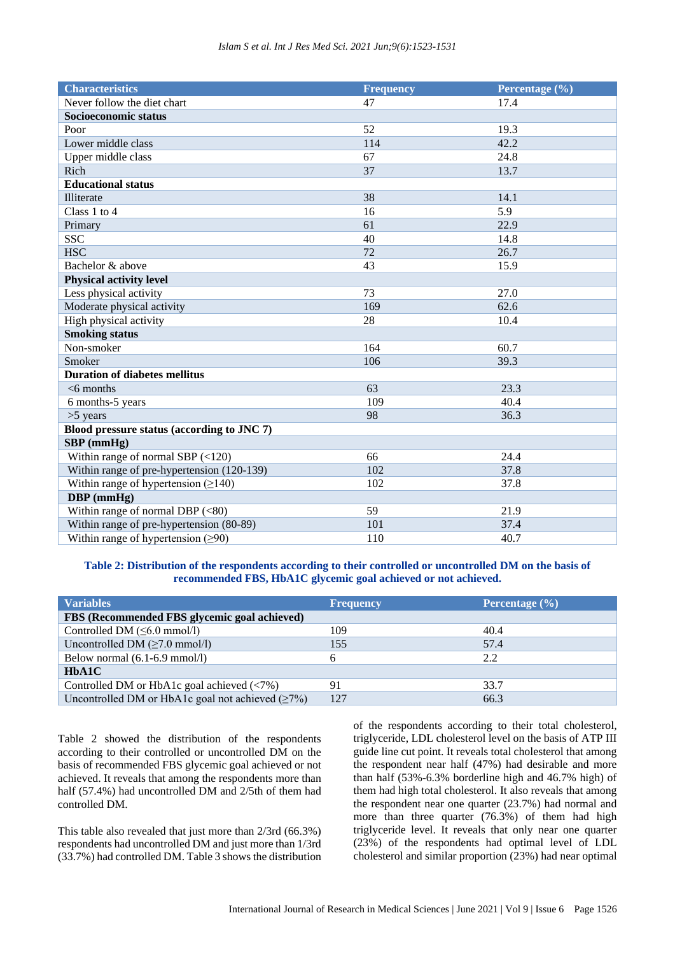| <b>Characteristics</b>                     | <b>Frequency</b> | Percentage (%) |  |  |
|--------------------------------------------|------------------|----------------|--|--|
| Never follow the diet chart                | 47               | 17.4           |  |  |
| Socioeconomic status                       |                  |                |  |  |
| Poor                                       | 52               | 19.3           |  |  |
| Lower middle class                         | 114              | 42.2           |  |  |
| Upper middle class                         | 67               | 24.8           |  |  |
| Rich                                       | 37               | 13.7           |  |  |
| <b>Educational status</b>                  |                  |                |  |  |
| Illiterate                                 | 38               | 14.1           |  |  |
| Class 1 to 4                               | 16               | 5.9            |  |  |
| Primary                                    | 61               | 22.9           |  |  |
| <b>SSC</b>                                 | 40               | 14.8           |  |  |
| <b>HSC</b>                                 | 72               | 26.7           |  |  |
| Bachelor & above                           | 43               | 15.9           |  |  |
| <b>Physical activity level</b>             |                  |                |  |  |
| Less physical activity                     | 73               | 27.0           |  |  |
| Moderate physical activity                 | 169              | 62.6           |  |  |
| High physical activity                     | 28               | 10.4           |  |  |
| <b>Smoking status</b>                      |                  |                |  |  |
| Non-smoker                                 | 164              | 60.7           |  |  |
| Smoker                                     | 106              | 39.3           |  |  |
| <b>Duration of diabetes mellitus</b>       |                  |                |  |  |
| $<$ 6 months                               | 63               | 23.3           |  |  |
| 6 months-5 years                           | 109              | 40.4           |  |  |
| $>5$ years                                 | 98               | 36.3           |  |  |
| Blood pressure status (according to JNC 7) |                  |                |  |  |
| $SBP$ (mmHg)                               |                  |                |  |  |
| Within range of normal SBP $(<120)$        | 66               | 24.4           |  |  |
| Within range of pre-hypertension (120-139) | 102              | 37.8           |  |  |
| Within range of hypertension $(≥140)$      | 102              | 37.8           |  |  |
| DBP (mmHg)                                 |                  |                |  |  |
| Within range of normal DBP $(<80)$         | 59               | 21.9           |  |  |
| Within range of pre-hypertension (80-89)   | 101              | 37.4           |  |  |
| Within range of hypertension $(≥90)$       | 110              | 40.7           |  |  |

**Table 2: Distribution of the respondents according to their controlled or uncontrolled DM on the basis of recommended FBS, HbA1C glycemic goal achieved or not achieved.**

| <b>Variables</b>                                                                      | <b>Frequency</b> | Percentage $(\% )$ |  |
|---------------------------------------------------------------------------------------|------------------|--------------------|--|
| FBS (Recommended FBS glycemic goal achieved)                                          |                  |                    |  |
| Controlled DM $(\leq 6.0 \text{ mmol/l})$                                             | 109.             | 40.4               |  |
| Uncontrolled DM $(\geq 7.0 \text{ mmol/l})$                                           | 155              | 57.4               |  |
| Below normal $(6.1-6.9 \text{ mmol/l})$                                               | 6                | 2.2                |  |
| HbA1C                                                                                 |                  |                    |  |
| Controlled DM or HbA1c goal achieved $\left\langle \langle 7\% \rangle \right\rangle$ | 91               | 33.7               |  |
| Uncontrolled DM or HbA1c goal not achieved $(≥7%)$                                    | 127              | 66.3               |  |

Table 2 showed the distribution of the respondents according to their controlled or uncontrolled DM on the basis of recommended FBS glycemic goal achieved or not achieved. It reveals that among the respondents more than half (57.4%) had uncontrolled DM and 2/5th of them had controlled DM.

This table also revealed that just more than 2/3rd (66.3%) respondents had uncontrolled DM and just more than 1/3rd (33.7%) had controlled DM. Table 3 shows the distribution of the respondents according to their total cholesterol, triglyceride, LDL cholesterol level on the basis of ATP III guide line cut point. It reveals total cholesterol that among the respondent near half (47%) had desirable and more than half (53%-6.3% borderline high and 46.7% high) of them had high total cholesterol. It also reveals that among the respondent near one quarter (23.7%) had normal and more than three quarter (76.3%) of them had high triglyceride level. It reveals that only near one quarter (23%) of the respondents had optimal level of LDL cholesterol and similar proportion (23%) had near optimal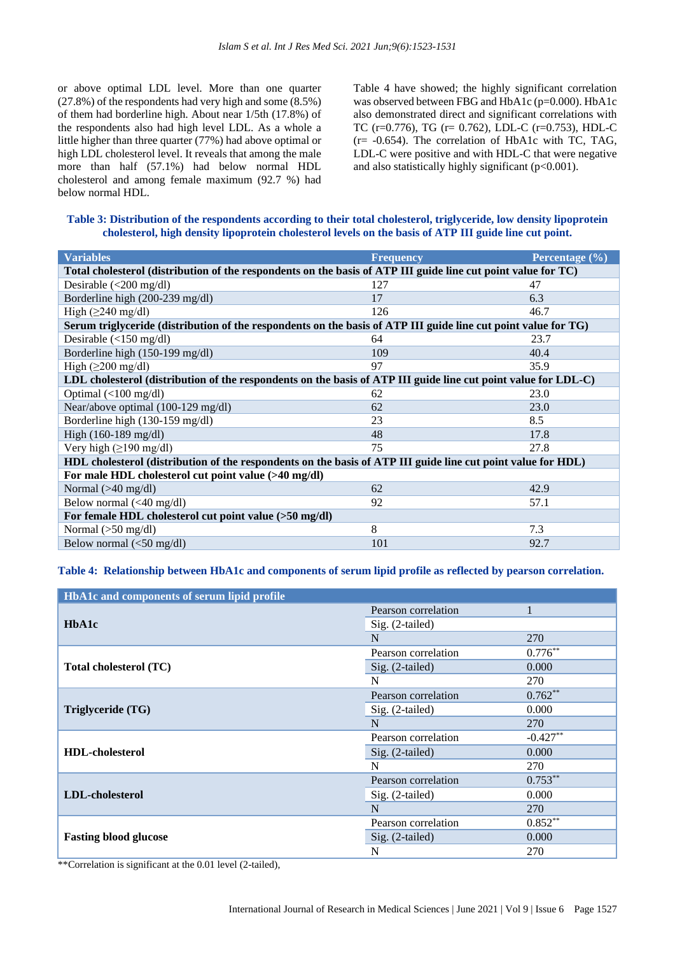or above optimal LDL level. More than one quarter (27.8%) of the respondents had very high and some (8.5%) of them had borderline high. About near 1/5th (17.8%) of the respondents also had high level LDL. As a whole a little higher than three quarter (77%) had above optimal or high LDL cholesterol level. It reveals that among the male more than half (57.1%) had below normal HDL cholesterol and among female maximum (92.7 %) had below normal HDL.

Table 4 have showed; the highly significant correlation was observed between FBG and HbA1c (p=0.000). HbA1c also demonstrated direct and significant correlations with TC (r=0.776), TG (r= 0.762), LDL-C (r=0.753), HDL-C (r= -0.654). The correlation of HbA1c with TC, TAG, LDL-C were positive and with HDL-C that were negative and also statistically highly significant (p<0.001).

**Table 3: Distribution of the respondents according to their total cholesterol, triglyceride, low density lipoprotein cholesterol, high density lipoprotein cholesterol levels on the basis of ATP III guide line cut point.**

| <b>Variables</b>                                                                                               | <b>Frequency</b> | Percentage $(\% )$ |  |  |
|----------------------------------------------------------------------------------------------------------------|------------------|--------------------|--|--|
| Total cholesterol (distribution of the respondents on the basis of ATP III guide line cut point value for TC)  |                  |                    |  |  |
| Desirable (<200 mg/dl)                                                                                         | 127              | 47                 |  |  |
| Borderline high (200-239 mg/dl)                                                                                | 17               | 6.3                |  |  |
| High $(\geq 240 \text{ mg/dl})$                                                                                | 126              | 46.7               |  |  |
| Serum triglyceride (distribution of the respondents on the basis of ATP III guide line cut point value for TG) |                  |                    |  |  |
| Desirable $\left($ < 150 mg/dl)                                                                                | 64               | 23.7               |  |  |
| Borderline high (150-199 mg/dl)                                                                                | 109              | 40.4               |  |  |
| High $(\geq 200 \text{ mg/dl})$                                                                                | 97               | 35.9               |  |  |
| LDL cholesterol (distribution of the respondents on the basis of ATP III guide line cut point value for LDL-C) |                  |                    |  |  |
| Optimal $\left($ < 100 mg/dl)                                                                                  | 62               | 23.0               |  |  |
| Near/above optimal (100-129 mg/dl)                                                                             | 62               | 23.0               |  |  |
| Borderline high (130-159 mg/dl)                                                                                | 23               | 8.5                |  |  |
| High $(160-189 \text{ mg/dl})$                                                                                 | 48               | 17.8               |  |  |
| Very high $(\geq 190 \text{ mg/dl})$                                                                           | 75               | 27.8               |  |  |
| HDL cholesterol (distribution of the respondents on the basis of ATP III guide line cut point value for HDL)   |                  |                    |  |  |
| For male HDL cholesterol cut point value (>40 mg/dl)                                                           |                  |                    |  |  |
| Normal $(>40 \text{ mg/dl})$                                                                                   | 62               | 42.9               |  |  |
| Below normal $(40 \text{ mg/dl})$                                                                              | 92               | 57.1               |  |  |
| For female HDL cholesterol cut point value (>50 mg/dl)                                                         |                  |                    |  |  |
| Normal $(>50 \text{ mg/dl})$                                                                                   | 8                | 7.3                |  |  |
| Below normal $\left  \langle 50 \rangle \langle 0  \right $                                                    | 101              | 92.7               |  |  |

**Table 4: Relationship between HbA1c and components of serum lipid profile as reflected by pearson correlation.**

| HbA1c and components of serum lipid profile |                     |            |  |
|---------------------------------------------|---------------------|------------|--|
|                                             | Pearson correlation | 1          |  |
| HbA1c                                       | Sig. (2-tailed)     |            |  |
|                                             | N                   | 270        |  |
|                                             | Pearson correlation | $0.776**$  |  |
| Total cholesterol (TC)                      | $Sig. (2-tailed)$   | 0.000      |  |
|                                             | N                   | 270        |  |
| Triglyceride (TG)                           | Pearson correlation | $0.762**$  |  |
|                                             | Sig. (2-tailed)     | 0.000      |  |
|                                             | N                   | 270        |  |
|                                             | Pearson correlation | $-0.427**$ |  |
| <b>HDL-cholesterol</b>                      | $Sig. (2-tailed)$   | 0.000      |  |
|                                             | N                   | 270        |  |
|                                             | Pearson correlation | $0.753**$  |  |
| LDL-cholesterol                             | Sig. (2-tailed)     | 0.000      |  |
|                                             | N                   | 270        |  |
|                                             | Pearson correlation | $0.852**$  |  |
| <b>Fasting blood glucose</b>                | $Sig. (2-tailed)$   | 0.000      |  |
|                                             | N                   | 270        |  |

\*\*Correlation is significant at the 0.01 level (2-tailed),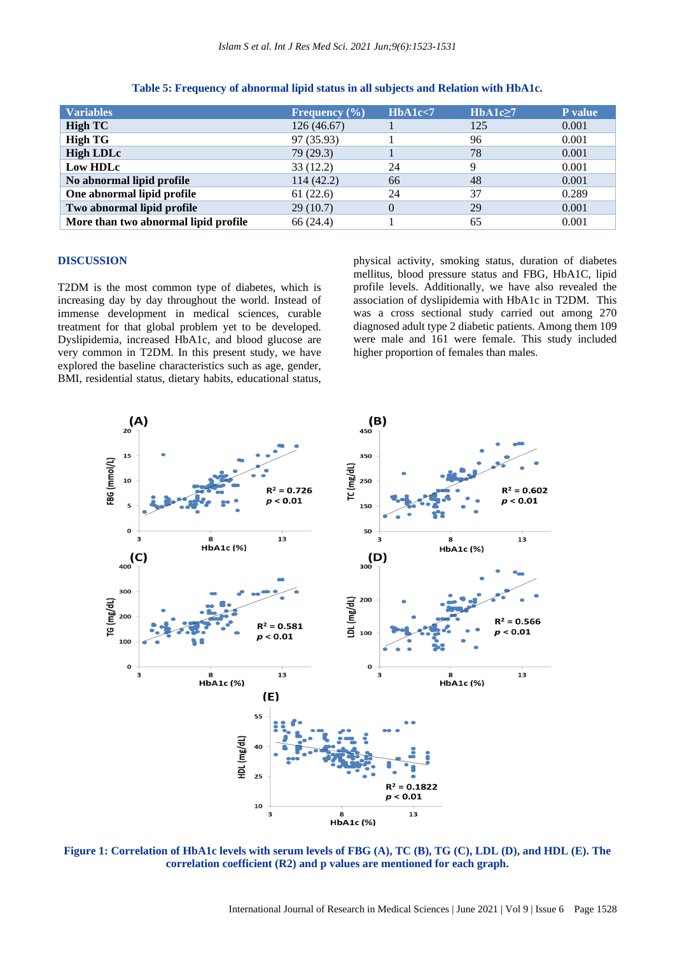| <b>Variables</b>                     | Frequency $(\% )$ | HbA1c<7        | HbA1c <sub>2</sub> 7 | P value |
|--------------------------------------|-------------------|----------------|----------------------|---------|
| <b>High TC</b>                       | 126(46.67)        |                | 125                  | 0.001   |
| <b>High TG</b>                       | 97 (35.93)        |                | 96                   | 0.001   |
| <b>High LDLc</b>                     | 79 (29.3)         |                | 78                   | 0.001   |
| Low HDLc                             | 33(12.2)          | 24             | q                    | 0.001   |
| No abnormal lipid profile            | 114(42.2)         | 66             | 48                   | 0.001   |
| One abnormal lipid profile           | 61(22.6)          | 24             | 37                   | 0.289   |
| Two abnormal lipid profile           | 29(10.7)          | $\overline{0}$ | 29                   | 0.001   |
| More than two abnormal lipid profile | 66 (24.4)         |                | 65                   | 0.001   |

|  |  | Table 5: Frequency of abnormal lipid status in all subjects and Relation with HbA1c. |
|--|--|--------------------------------------------------------------------------------------|
|  |  |                                                                                      |

#### **DISCUSSION**

T2DM is the most common type of diabetes, which is increasing day by day throughout the world. Instead of immense development in medical sciences, curable treatment for that global problem yet to be developed. Dyslipidemia, increased HbA1c, and blood glucose are very common in T2DM. In this present study, we have explored the baseline characteristics such as age, gender, BMI, residential status, dietary habits, educational status, physical activity, smoking status, duration of diabetes mellitus, blood pressure status and FBG, HbA1C, lipid profile levels. Additionally, we have also revealed the association of dyslipidemia with HbA1c in T2DM. This was a cross sectional study carried out among 270 diagnosed adult type 2 diabetic patients. Among them 109 were male and 161 were female. This study included higher proportion of females than males.



**Figure 1: Correlation of HbA1c levels with serum levels of FBG (A), TC (B), TG (C), LDL (D), and HDL (E). The correlation coefficient (R2) and p values are mentioned for each graph.**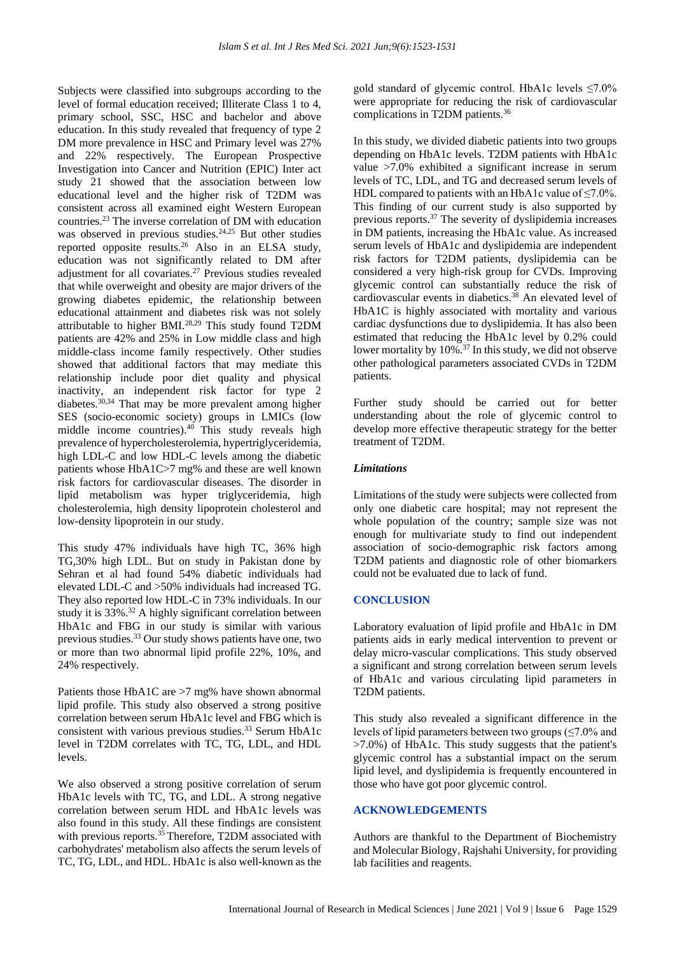Subjects were classified into subgroups according to the level of formal education received; Illiterate Class 1 to 4, primary school, SSC, HSC and bachelor and above education. In this study revealed that frequency of type 2 DM more prevalence in HSC and Primary level was 27% and 22% respectively. The European Prospective Investigation into Cancer and Nutrition (EPIC) Inter act study 21 showed that the association between low educational level and the higher risk of T2DM was consistent across all examined eight Western European countries.<sup>23</sup> The inverse correlation of DM with education was observed in previous studies.<sup>24,25</sup> But other studies reported opposite results.<sup>26</sup> Also in an ELSA study, education was not significantly related to DM after adjustment for all covariates.<sup>27</sup> Previous studies revealed that while overweight and obesity are major drivers of the growing diabetes epidemic, the relationship between educational attainment and diabetes risk was not solely attributable to higher BMI.28,29 This study found T2DM patients are 42% and 25% in Low middle class and high middle-class income family respectively. Other studies showed that additional factors that may mediate this relationship include poor diet quality and physical inactivity, an independent risk factor for type 2 diabetes.30,34 That may be more prevalent among higher SES (socio-economic society) groups in LMICs (low middle income countries). $40$  This study reveals high prevalence of hypercholesterolemia, hypertriglyceridemia, high LDL-C and low HDL-C levels among the diabetic patients whose HbA1C>7 mg% and these are well known risk factors for cardiovascular diseases. The disorder in lipid metabolism was hyper triglyceridemia, high cholesterolemia, high density lipoprotein cholesterol and low-density lipoprotein in our study.

This study 47% individuals have high TC, 36% high TG,30% high LDL. But on study in Pakistan done by Sehran et al had found 54% diabetic individuals had elevated LDL-C and >50% individuals had increased TG. They also reported low HDL-C in 73% individuals. In our study it is 33%.<sup>32</sup> A highly significant correlation between HbA1c and FBG in our study is similar with various previous studies.<sup>33</sup> Our study shows patients have one, two or more than two abnormal lipid profile 22%, 10%, and 24% respectively.

Patients those HbA1C are >7 mg% have shown abnormal lipid profile. This study also observed a strong positive correlation between serum HbA1c level and FBG which is consistent with various previous studies.<sup>33</sup> Serum HbA1c level in T2DM correlates with TC, TG, LDL, and HDL levels.

We also observed a strong positive correlation of serum HbA1c levels with TC, TG, and LDL. A strong negative correlation between serum HDL and HbA1c levels was also found in this study. All these findings are consistent with previous reports.<sup>35</sup>Therefore, T2DM associated with carbohydrates' metabolism also affects the serum levels of TC, TG, LDL, and HDL. HbA1c is also well-known as the gold standard of glycemic control. HbA1c levels  $\leq 7.0\%$ were appropriate for reducing the risk of cardiovascular complications in T2DM patients.<sup>36</sup>

In this study, we divided diabetic patients into two groups depending on HbA1c levels. T2DM patients with HbA1c value >7.0% exhibited a significant increase in serum levels of TC, LDL, and TG and decreased serum levels of HDL compared to patients with an HbA1c value of  $\leq 7.0\%$ . This finding of our current study is also supported by previous reports.<sup>37</sup> The severity of dyslipidemia increases in DM patients, increasing the HbA1c value. As increased serum levels of HbA1c and dyslipidemia are independent risk factors for T2DM patients, dyslipidemia can be considered a very high-risk group for CVDs. Improving glycemic control can substantially reduce the risk of cardiovascular events in diabetics. $38$  An elevated level of HbA1C is highly associated with mortality and various cardiac dysfunctions due to dyslipidemia. It has also been estimated that reducing the HbA1c level by 0.2% could lower mortality by 10%.<sup>37</sup> In this study, we did not observe other pathological parameters associated CVDs in T2DM patients.

Further study should be carried out for better understanding about the role of glycemic control to develop more effective therapeutic strategy for the better treatment of T2DM.

#### *Limitations*

Limitations of the study were subjects were collected from only one diabetic care hospital; may not represent the whole population of the country; sample size was not enough for multivariate study to find out independent association of socio-demographic risk factors among T2DM patients and diagnostic role of other biomarkers could not be evaluated due to lack of fund.

#### **CONCLUSION**

Laboratory evaluation of lipid profile and HbA1c in DM patients aids in early medical intervention to prevent or delay micro-vascular complications. This study observed a significant and strong correlation between serum levels of HbA1c and various circulating lipid parameters in T2DM patients.

This study also revealed a significant difference in the levels of lipid parameters between two groups (≤7.0% and  $>7.0\%$ ) of HbA1c. This study suggests that the patient's glycemic control has a substantial impact on the serum lipid level, and dyslipidemia is frequently encountered in those who have got poor glycemic control.

### **ACKNOWLEDGEMENTS**

Authors are thankful to the Department of Biochemistry and Molecular Biology, Rajshahi University, for providing lab facilities and reagents.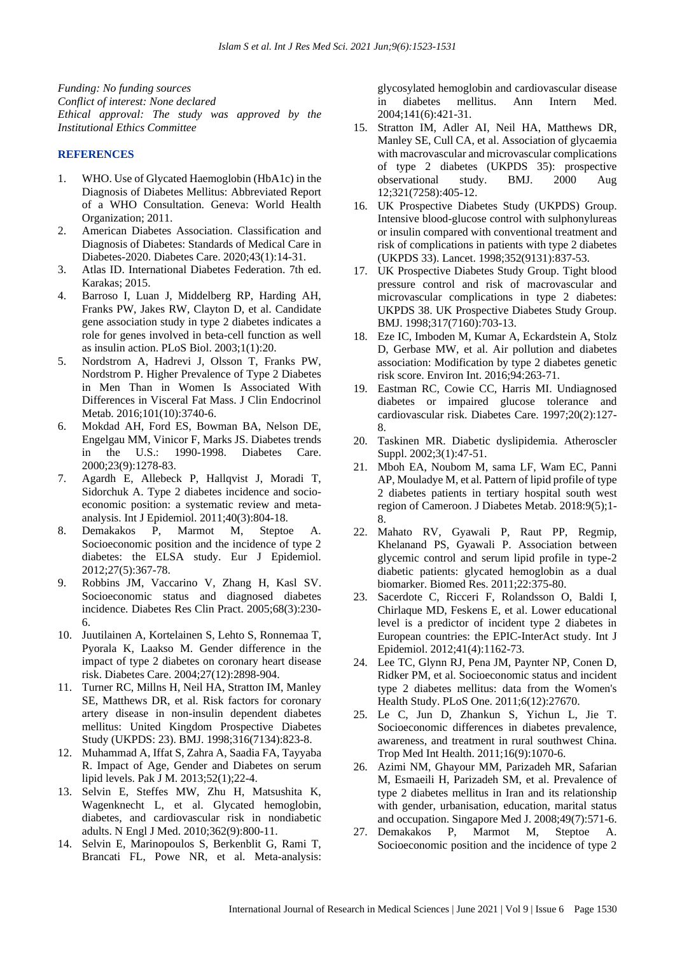*Funding: No funding sources Conflict of interest: None declared Ethical approval: The study was approved by the Institutional Ethics Committee*

#### **REFERENCES**

- 1. WHO. Use of Glycated Haemoglobin (HbA1c) in the Diagnosis of Diabetes Mellitus: Abbreviated Report of a WHO Consultation. Geneva: World Health Organization; 2011.
- 2. American Diabetes Association. Classification and Diagnosis of Diabetes: Standards of Medical Care in Diabetes-2020. Diabetes Care. 2020;43(1):14-31.
- 3. Atlas ID. International Diabetes Federation. 7th ed. Karakas; 2015.
- 4. Barroso I, Luan J, Middelberg RP, Harding AH, Franks PW, Jakes RW, Clayton D, et al. Candidate gene association study in type 2 diabetes indicates a role for genes involved in beta-cell function as well as insulin action. PLoS Biol. 2003;1(1):20.
- 5. Nordstrom A, Hadrevi J, Olsson T, Franks PW, Nordstrom P. Higher Prevalence of Type 2 Diabetes in Men Than in Women Is Associated With Differences in Visceral Fat Mass. J Clin Endocrinol Metab. 2016;101(10):3740-6.
- 6. Mokdad AH, Ford ES, Bowman BA, Nelson DE, Engelgau MM, Vinicor F, Marks JS. Diabetes trends in the U.S.: 1990-1998. Diabetes Care. 2000;23(9):1278-83.
- 7. Agardh E, Allebeck P, Hallqvist J, Moradi T, Sidorchuk A. Type 2 diabetes incidence and socioeconomic position: a systematic review and metaanalysis. Int J Epidemiol. 2011;40(3):804-18.
- 8. Demakakos P, Marmot M, Steptoe A. Socioeconomic position and the incidence of type 2 diabetes: the ELSA study. Eur J Epidemiol. 2012;27(5):367-78.
- 9. Robbins JM, Vaccarino V, Zhang H, Kasl SV. Socioeconomic status and diagnosed diabetes incidence. Diabetes Res Clin Pract. 2005;68(3):230- 6.
- 10. Juutilainen A, Kortelainen S, Lehto S, Ronnemaa T, Pyorala K, Laakso M. Gender difference in the impact of type 2 diabetes on coronary heart disease risk. Diabetes Care. 2004;27(12):2898-904.
- 11. Turner RC, Millns H, Neil HA, Stratton IM, Manley SE, Matthews DR, et al. Risk factors for coronary artery disease in non-insulin dependent diabetes mellitus: United Kingdom Prospective Diabetes Study (UKPDS: 23). BMJ. 1998;316(7134):823-8.
- 12. Muhammad A, Iffat S, Zahra A, Saadia FA, Tayyaba R. Impact of Age, Gender and Diabetes on serum lipid levels. Pak J M. 2013;52(1);22-4.
- 13. Selvin E, Steffes MW, Zhu H, Matsushita K, Wagenknecht L, et al. Glycated hemoglobin, diabetes, and cardiovascular risk in nondiabetic adults. N Engl J Med. 2010;362(9):800-11.
- 14. Selvin E, Marinopoulos S, Berkenblit G, Rami T, Brancati FL, Powe NR, et al. Meta-analysis:

glycosylated hemoglobin and cardiovascular disease in diabetes mellitus. Ann Intern Med. 2004;141(6):421-31.

- 15. Stratton IM, Adler AI, Neil HA, Matthews DR, Manley SE, Cull CA, et al. Association of glycaemia with macrovascular and microvascular complications of type 2 diabetes (UKPDS 35): prospective observational study. BMJ. 2000 Aug 12;321(7258):405-12.
- 16. UK Prospective Diabetes Study (UKPDS) Group. Intensive blood-glucose control with sulphonylureas or insulin compared with conventional treatment and risk of complications in patients with type 2 diabetes (UKPDS 33). Lancet. 1998;352(9131):837-53.
- 17. UK Prospective Diabetes Study Group. Tight blood pressure control and risk of macrovascular and microvascular complications in type 2 diabetes: UKPDS 38. UK Prospective Diabetes Study Group. BMJ. 1998;317(7160):703-13.
- 18. Eze IC, Imboden M, Kumar A, Eckardstein A, Stolz D, Gerbase MW, et al. Air pollution and diabetes association: Modification by type 2 diabetes genetic risk score. Environ Int. 2016;94:263-71.
- 19. Eastman RC, Cowie CC, Harris MI. Undiagnosed diabetes or impaired glucose tolerance and cardiovascular risk. Diabetes Care. 1997;20(2):127- 8.
- 20. Taskinen MR. Diabetic dyslipidemia. Atheroscler Suppl. 2002;3(1):47-51.
- 21. Mboh EA, Noubom M, sama LF, Wam EC, Panni AP, Mouladye M, et al. Pattern of lipid profile of type 2 diabetes patients in tertiary hospital south west region of Cameroon. J Diabetes Metab. 2018:9(5);1- 8.
- 22. Mahato RV, Gyawali P, Raut PP, Regmip, Khelanand PS, Gyawali P. Association between glycemic control and serum lipid profile in type-2 diabetic patients: glycated hemoglobin as a dual biomarker. Biomed Res. 2011;22:375-80.
- 23. Sacerdote C, Ricceri F, Rolandsson O, Baldi I, Chirlaque MD, Feskens E, et al. Lower educational level is a predictor of incident type 2 diabetes in European countries: the EPIC-InterAct study. Int J Epidemiol. 2012;41(4):1162-73.
- 24. Lee TC, Glynn RJ, Pena JM, Paynter NP, Conen D, Ridker PM, et al. Socioeconomic status and incident type 2 diabetes mellitus: data from the Women's Health Study. PLoS One. 2011;6(12):27670.
- 25. Le C, Jun D, Zhankun S, Yichun L, Jie T. Socioeconomic differences in diabetes prevalence, awareness, and treatment in rural southwest China. Trop Med Int Health. 2011;16(9):1070-6.
- 26. Azimi NM, Ghayour MM, Parizadeh MR, Safarian M, Esmaeili H, Parizadeh SM, et al. Prevalence of type 2 diabetes mellitus in Iran and its relationship with gender, urbanisation, education, marital status and occupation. Singapore Med J. 2008;49(7):571-6.
- 27. Demakakos P, Marmot M, Steptoe A. Socioeconomic position and the incidence of type 2